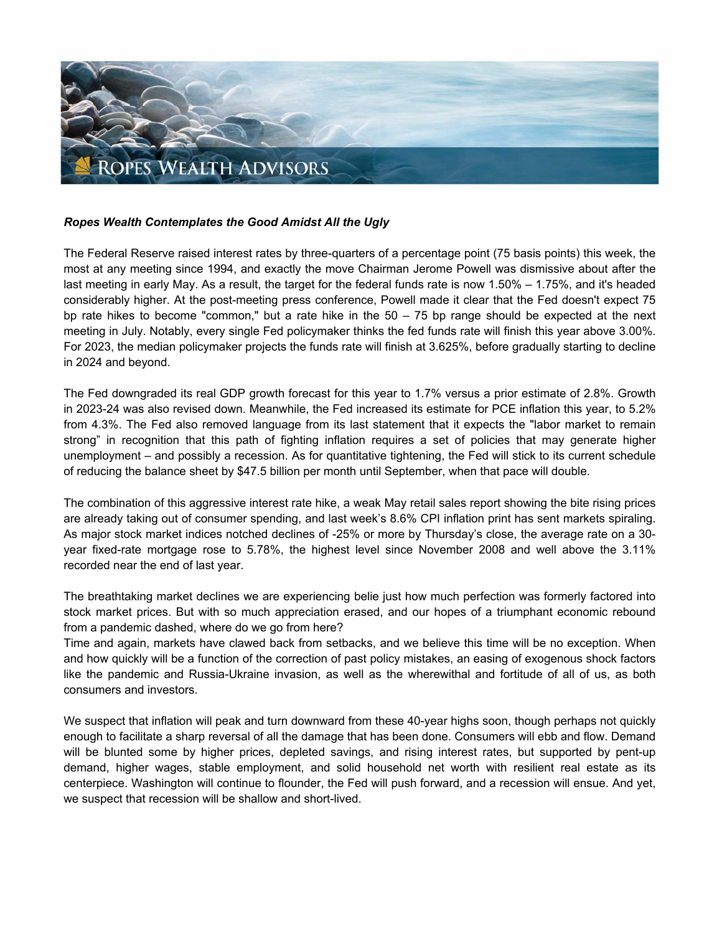

## *Ropes Wealth Contemplates the Good Amidst All the Ugly*

The Federal Reserve raised interest rates by three-quarters of a percentage point (75 basis points) this week, the most at any meeting since 1994, and exactly the move Chairman Jerome Powell was dismissive about after the last meeting in early May. As a result, the target for the federal funds rate is now 1.50% – 1.75%, and it's headed considerably higher. At the post-meeting press conference, Powell made it clear that the Fed doesn't expect 75 bp rate hikes to become "common," but a rate hike in the  $50 - 75$  bp range should be expected at the next meeting in July. Notably, every single Fed policymaker thinks the fed funds rate will finish this year above 3.00%. For 2023, the median policymaker projects the funds rate will finish at 3.625%, before gradually starting to decline in 2024 and beyond.

The Fed downgraded its real GDP growth forecast for this year to 1.7% versus a prior estimate of 2.8%. Growth in 2023-24 was also revised down. Meanwhile, the Fed increased its estimate for PCE inflation this year, to 5.2% from 4.3%. The Fed also removed language from its last statement that it expects the "labor market to remain strong" in recognition that this path of fighting inflation requires a set of policies that may generate higher unemployment – and possibly a recession. As for quantitative tightening, the Fed will stick to its current schedule of reducing the balance sheet by \$47.5 billion per month until September, when that pace will double.

The combination of this aggressive interest rate hike, a weak May retail sales report showing the bite rising prices are already taking out of consumer spending, and last week's 8.6% CPI inflation print has sent markets spiraling. As major stock market indices notched declines of -25% or more by Thursday's close, the average rate on a 30 year fixed-rate mortgage rose to 5.78%, the highest level since November 2008 and well above the 3.11% recorded near the end of last year.

The breathtaking market declines we are experiencing belie just how much perfection was formerly factored into stock market prices. But with so much appreciation erased, and our hopes of a triumphant economic rebound from a pandemic dashed, where do we go from here?

Time and again, markets have clawed back from setbacks, and we believe this time will be no exception. When and how quickly will be a function of the correction of past policy mistakes, an easing of exogenous shock factors like the pandemic and Russia-Ukraine invasion, as well as the wherewithal and fortitude of all of us, as both consumers and investors.

We suspect that inflation will peak and turn downward from these 40-year highs soon, though perhaps not quickly enough to facilitate a sharp reversal of all the damage that has been done. Consumers will ebb and flow. Demand will be blunted some by higher prices, depleted savings, and rising interest rates, but supported by pent-up demand, higher wages, stable employment, and solid household net worth with resilient real estate as its centerpiece. Washington will continue to flounder, the Fed will push forward, and a recession will ensue. And yet, we suspect that recession will be shallow and short-lived.